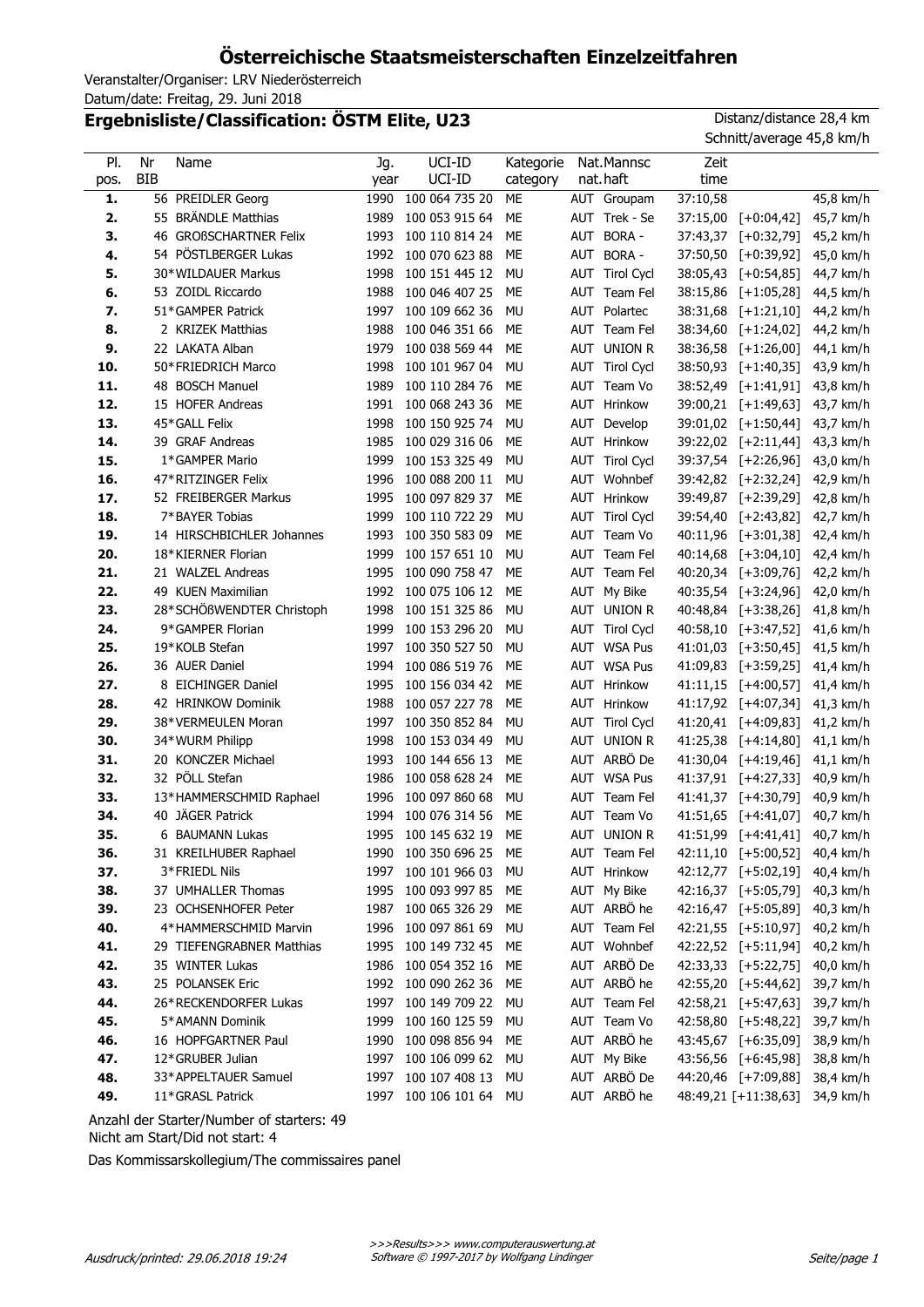# **Österreichische Staatsmeisterschaften Einzelzeitfahren**

Veranstalter/Organiser: LRV Niederösterreich Datum/date: Freitag, 29. Juni 2018

## **Ergebnisliste/Classification: ÖSTM Elite, U23** Distanz/distance 28,4 km

| PI.  | Nr<br>Name                | Jg.  | UCI-ID              | Kategorie | Nat.Mannsc            | Zeit     |                      |             |
|------|---------------------------|------|---------------------|-----------|-----------------------|----------|----------------------|-------------|
| pos. | <b>BIB</b>                | year | UCI-ID              | category  | nat.haft              | time     |                      |             |
| 1.   | 56 PREIDLER Georg         | 1990 | 100 064 735 20      | ME        | AUT Groupam           | 37:10,58 |                      | 45,8 km/h   |
| 2.   | 55 BRÄNDLE Matthias       | 1989 | 100 053 915 64      | ME        | AUT Trek - Se         | 37:15,00 | $[+0:04,42]$         | 45,7 km/h   |
| 3.   | 46 GROßSCHARTNER Felix    | 1993 | 100 110 814 24      | ME        | AUT BORA -            | 37:43,37 | $[-0:32,79]$         | 45,2 km/h   |
| 4.   | 54 PÖSTLBERGER Lukas      | 1992 | 100 070 623 88      | ME        | AUT BORA -            |          | 37:50,50 [+0:39,92]  | 45,0 km/h   |
| 5.   | 30*WILDAUER Markus        | 1998 | 100 151 445 12      | <b>MU</b> | AUT Tirol Cycl        | 38:05,43 | $[+0:54,85]$         | 44,7 km/h   |
| 6.   | 53 ZOIDL Riccardo         | 1988 | 100 046 407 25      | MЕ        | AUT Team Fel          | 38:15,86 | $[+1:05,28]$         | 44,5 km/h   |
| 7.   | 51*GAMPER Patrick         | 1997 | 100 109 662 36      | <b>MU</b> | AUT Polartec          | 38:31,68 | $[+1:21,10]$         | 44,2 km/h   |
| 8.   | 2 KRIZEK Matthias         | 1988 | 100 046 351 66      | MЕ        | AUT Team Fel          | 38:34,60 | $[+1:24,02]$         | 44,2 km/h   |
| 9.   | 22 LAKATA Alban           | 1979 | 100 038 569 44      | MЕ        | AUT UNION R           | 38:36,58 | $[+1:26,00]$         | 44,1 km/h   |
| 10.  | 50*FRIEDRICH Marco        | 1998 | 100 101 967 04      | <b>MU</b> | <b>AUT</b> Tirol Cycl |          | 38:50,93 [+1:40,35]  | 43,9 km/h   |
| 11.  | 48 BOSCH Manuel           | 1989 | 100 110 284 76      | MЕ        | AUT Team Vo           | 38:52,49 | $[+1:41,91]$         | 43,8 km/h   |
| 12.  | 15 HOFER Andreas          | 1991 | 100 068 243 36      | MЕ        | <b>AUT</b> Hrinkow    |          | 39:00,21 [+1:49,63]  | 43,7 km/h   |
| 13.  | 45*GALL Felix             | 1998 | 100 150 925 74      | <b>MU</b> | AUT<br>Develop        |          | 39:01,02 [+1:50,44]  | 43,7 km/h   |
| 14.  | 39 GRAF Andreas           | 1985 | 100 029 316 06      | MЕ        | <b>AUT</b> Hrinkow    |          | 39:22,02 [+2:11,44]  | 43,3 km/h   |
| 15.  | 1*GAMPER Mario            | 1999 | 100 153 325 49      | MU        | AUT Tirol Cycl        |          | 39:37,54 [+2:26,96]  | 43,0 km/h   |
| 16.  | 47*RITZINGER Felix        | 1996 | 100 088 200 11      | <b>MU</b> | AUT Wohnbef           |          | 39:42,82 [+2:32,24]  | 42,9 km/h   |
| 17.  | 52 FREIBERGER Markus      | 1995 | 100 097 829 37      | ME        | <b>AUT</b> Hrinkow    |          | 39:49,87 [+2:39,29]  | 42,8 km/h   |
| 18.  | 7*BAYER Tobias            | 1999 | 100 110 722 29      | <b>MU</b> | AUT Tirol Cycl        | 39:54,40 | $[-2:43,82]$         | 42,7 km/h   |
| 19.  | 14 HIRSCHBICHLER Johannes | 1993 | 100 350 583 09      | ME        | AUT Team Vo           |          | 40:11,96 [+3:01,38]  | 42,4 km/h   |
| 20.  | 18*KIERNER Florian        | 1999 | 100 157 651 10      | <b>MU</b> | AUT Team Fel          | 40:14,68 | $[-3:04,10]$         | 42,4 km/h   |
| 21.  | 21 WALZEL Andreas         | 1995 | 100 090 758 47      | ME        | AUT Team Fel          |          | 40:20,34 [+3:09,76]  | 42,2 km/h   |
| 22.  | 49 KUEN Maximilian        | 1992 | 100 075 106 12      | ME        | AUT My Bike           |          | 40:35,54 [+3:24,96]  | 42,0 km/h   |
| 23.  | 28*SCHÖßWENDTER Christoph | 1998 | 100 151 325 86      | <b>MU</b> | <b>UNION R</b><br>AUT |          | 40:48,84 [+3:38,26]  | 41,8 km/h   |
| 24.  | 9*GAMPER Florian          | 1999 | 100 153 296 20      | <b>MU</b> | AUT Tirol Cycl        | 40:58,10 | $[-3:47,52]$         | 41,6 km/h   |
| 25.  | 19*KOLB Stefan            | 1997 | 100 350 527 50      | <b>MU</b> | AUT WSA Pus           | 41:01,03 | $[+3:50,45]$         | 41,5 km/h   |
| 26.  | 36 AUER Daniel            | 1994 | 100 086 519 76      | ME        | AUT WSA Pus           |          | 41:09,83 [+3:59,25]  | 41,4 km/h   |
| 27.  | 8 EICHINGER Daniel        | 1995 | 100 156 034 42      | ME        | <b>AUT</b> Hrinkow    |          | 41:11,15 [+4:00,57]  | 41,4 km/h   |
| 28.  | 42 HRINKOW Dominik        | 1988 | 100 057 227 78      | ME        | AUT<br>Hrinkow        |          | 41:17,92 [+4:07,34]  | 41,3 km/h   |
| 29.  | 38*VERMEULEN Moran        | 1997 | 100 350 852 84      | <b>MU</b> | AUT Tirol Cycl        |          | 41:20,41 [+4:09,83]  | 41,2 km/h   |
| 30.  | 34*WURM Philipp           | 1998 | 100 153 034 49      | <b>MU</b> | AUT<br><b>UNION R</b> |          | 41:25,38 [+4:14,80]  | $41,1$ km/h |
| 31.  | 20 KONCZER Michael        | 1993 | 100 144 656 13      | ME        | AUT ARBÖ De           |          | 41:30,04 [+4:19,46]  | $41,1$ km/h |
| 32.  | 32 PÖLL Stefan            | 1986 | 100 058 628 24      | ME        | AUT WSA Pus           |          | 41:37,91 [+4:27,33]  | 40,9 km/h   |
| 33.  | 13*HAMMERSCHMID Raphael   | 1996 | 100 097 860 68      | <b>MU</b> | AUT Team Fel          |          | 41:41,37 [+4:30,79]  | 40,9 km/h   |
| 34.  | 40 JÄGER Patrick          | 1994 | 100 076 314 56      | ME        | AUT Team Vo           |          | 41:51,65 [+4:41,07]  | 40,7 km/h   |
| 35.  | 6 BAUMANN Lukas           | 1995 | 100 145 632 19      | ME        | AUT UNION R           |          | 41:51,99 [+4:41,41]  | 40,7 km/h   |
| 36.  | 31 KREILHUBER Raphael     |      | 1990 100 350 696 25 | ME        | AUT Team Fel          |          | 42:11,10 [+5:00,52]  | 40,4 km/h   |
| 37.  | 3*FRIEDL Nils             | 1997 | 100 101 966 03      | MU        | <b>AUT</b> Hrinkow    |          | 42:12,77 [+5:02,19]  | 40,4 km/h   |
| 38.  | 37 UMHALLER Thomas        | 1995 | 100 093 997 85      | ME        | AUT My Bike           |          | 42:16,37 [+5:05,79]  | 40,3 km/h   |
| 39.  | 23 OCHSENHOFER Peter      | 1987 | 100 065 326 29      | ME        | AUT ARBÖ he           |          | 42:16,47 [+5:05,89]  | 40,3 km/h   |
| 40.  | 4*HAMMERSCHMID Marvin     | 1996 | 100 097 861 69      | MU        | AUT Team Fel          |          | 42:21,55 [+5:10,97]  | 40,2 km/h   |
| 41.  | 29 TIEFENGRABNER Matthias | 1995 | 100 149 732 45      | ME        | AUT Wohnbef           |          | 42:22,52 [+5:11,94]  | 40,2 km/h   |
| 42.  | 35 WINTER Lukas           | 1986 | 100 054 352 16      | ME        | AUT ARBÖ De           |          | 42:33,33 [+5:22,75]  | 40,0 km/h   |
| 43.  | 25 POLANSEK Eric          |      | 1992 100 090 262 36 | ME        | AUT ARBÖ he           |          | 42:55,20 [+5:44,62]  | 39,7 km/h   |
| 44.  | 26*RECKENDORFER Lukas     |      | 1997 100 149 709 22 | MU        | AUT Team Fel          |          | 42:58,21 [+5:47,63]  | 39,7 km/h   |
| 45.  | 5*AMANN Dominik           | 1999 | 100 160 125 59      | MU        | AUT Team Vo           |          | 42:58,80 [+5:48,22]  | 39,7 km/h   |
| 46.  | 16 HOPFGARTNER Paul       | 1990 | 100 098 856 94      | ME        | AUT ARBÖ he           |          | 43:45,67 [+6:35,09]  | 38,9 km/h   |
| 47.  | 12*GRUBER Julian          | 1997 | 100 106 099 62      | MU        | AUT My Bike           |          | 43:56,56 [+6:45,98]  | 38,8 km/h   |
| 48.  | 33*APPELTAUER Samuel      | 1997 | 100 107 408 13      | MU        | AUT ARBÖ De           |          | 44:20,46 [+7:09,88]  | 38,4 km/h   |
| 49.  | 11*GRASL Patrick          |      | 1997 100 106 101 64 | MU        | AUT ARBÖ he           |          | 48:49,21 [+11:38,63] | 34,9 km/h   |

Anzahl der Starter/Number of starters: 49 Nicht am Start/Did not start: 4

Das Kommissarskollegium/The commissaires panel

Schnitt/average 45,8 km/h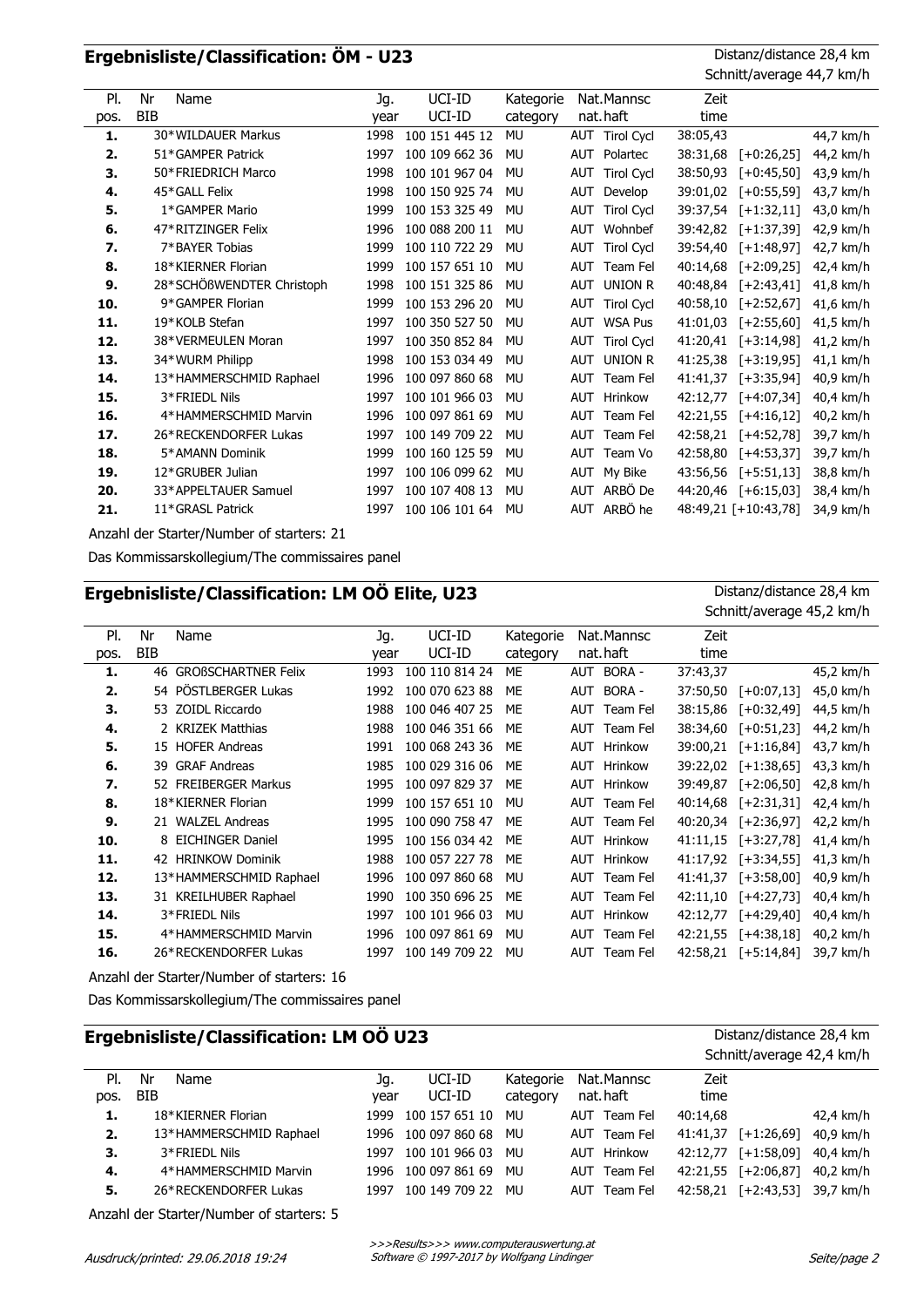## **Ergebnisliste/Classification: ÖM - U23** Distanz/distance 28,4 km

Schnitt/average 44,7 km/h

| PI.  | Nr<br>Name                | Jg.  | UCI-ID         | Kategorie | Nat.Mannsc                      | Zeit     |                      |           |
|------|---------------------------|------|----------------|-----------|---------------------------------|----------|----------------------|-----------|
| pos. | <b>BIB</b>                | year | UCI-ID         | category  | nat.haft                        | time     |                      |           |
| 1.   | 30*WILDAUER Markus        | 1998 | 100 151 445 12 | <b>MU</b> | AUT Tirol Cycl                  | 38:05,43 |                      | 44,7 km/h |
| 2.   | 51*GAMPER Patrick         | 1997 | 100 109 662 36 | MU        | Polartec<br><b>AUT</b>          | 38:31,68 | $[-10:26,25]$        | 44,2 km/h |
| 3.   | 50*FRIEDRICH Marco        | 1998 | 100 101 967 04 | MU        | <b>Tirol Cycl</b><br><b>AUT</b> | 38:50,93 | $[-0.45, 50]$        | 43,9 km/h |
| 4.   | 45*GALL Felix             | 1998 | 100 150 925 74 | MU        | <b>AUT</b><br>Develop           | 39:01,02 | $[-0.55, 59]$        | 43,7 km/h |
| 5.   | 1*GAMPER Mario            | 1999 | 100 153 325 49 | <b>MU</b> | <b>AUT</b><br><b>Tirol Cycl</b> | 39:37,54 | $[-1:32,11]$         | 43,0 km/h |
| 6.   | 47*RITZINGER Felix        | 1996 | 100 088 200 11 | <b>MU</b> | Wohnbef<br><b>AUT</b>           | 39:42,82 | $[-1:37,39]$         | 42,9 km/h |
| 7.   | 7*BAYER Tobias            | 1999 | 100 110 722 29 | <b>MU</b> | <b>Tirol Cycl</b><br><b>AUT</b> | 39:54,40 | $[-1:48,97]$         | 42,7 km/h |
| 8.   | 18*KIERNER Florian        | 1999 | 100 157 651 10 | MU        | <b>AUT</b><br>Team Fel          | 40:14,68 | $[-2:09,25]$         | 42,4 km/h |
| 9.   | 28*SCHÖßWENDTER Christoph | 1998 | 100 151 325 86 | MU        | UNION R<br><b>AUT</b>           | 40:48,84 | $[-2:43,41]$         | 41,8 km/h |
| 10.  | 9*GAMPER Florian          | 1999 | 100 153 296 20 | MU        | <b>Tirol Cycl</b><br><b>AUT</b> | 40:58,10 | $[-2:52,67]$         | 41,6 km/h |
| 11.  | 19*KOLB Stefan            | 1997 | 100 350 527 50 | MU        | <b>WSA Pus</b><br><b>AUT</b>    | 41:01,03 | $[-2:55,60]$         | 41,5 km/h |
| 12.  | 38*VERMEULEN Moran        | 1997 | 100 350 852 84 | MU        | AUT<br><b>Tirol Cycl</b>        | 41:20,41 | $[-3:14,98]$         | 41,2 km/h |
| 13.  | 34*WURM Philipp           | 1998 | 100 153 034 49 | MU        | AUT<br><b>UNION R</b>           | 41:25,38 | $[-3:19,95]$         | 41,1 km/h |
| 14.  | 13*HAMMERSCHMID Raphael   | 1996 | 100 097 860 68 | <b>MU</b> | <b>AUT</b><br>Team Fel          | 41:41.37 | $[-13:35,94]$        | 40,9 km/h |
| 15.  | 3*FRIEDL Nils             | 1997 | 100 101 966 03 | MU        | <b>AUT</b><br>Hrinkow           | 42:12,77 | $[-4:07,34]$         | 40,4 km/h |
| 16.  | 4*HAMMERSCHMID Marvin     | 1996 | 100 097 861 69 | <b>MU</b> | Team Fel<br><b>AUT</b>          | 42:21.55 | $[-4:16,12]$         | 40,2 km/h |
| 17.  | 26*RECKENDORFER Lukas     | 1997 | 100 149 709 22 | <b>MU</b> | Team Fel<br><b>AUT</b>          | 42:58,21 | $[-4:52,78]$         | 39,7 km/h |
| 18.  | 5*AMANN Dominik           | 1999 | 100 160 125 59 | MU        | Team Vo<br>AUT                  | 42:58,80 | $[-4:53,37]$         | 39,7 km/h |
| 19.  | 12*GRUBER Julian          | 1997 | 100 106 099 62 | MU        | My Bike<br>AUT                  | 43:56,56 | $[-5:51,13]$         | 38,8 km/h |
| 20.  | 33*APPELTAUER Samuel      | 1997 | 100 107 408 13 | <b>MU</b> | ARBÖ De<br><b>AUT</b>           |          | 44:20,46 [+6:15,03]  | 38,4 km/h |
| 21.  | 11*GRASL Patrick          | 1997 | 100 106 101 64 | <b>MU</b> | ARBÖ he<br><b>AUT</b>           |          | 48:49,21 [+10:43,78] | 34,9 km/h |
|      |                           |      |                |           |                                 |          |                      |           |

Anzahl der Starter/Number of starters: 21

Das Kommissarskollegium/The commissaires panel

| Ergebnisliste/Classification: LM OÖ Elite, U23 |            |                            |      |                |           |                        | Distanz/distance 28,4 km |                           |           |
|------------------------------------------------|------------|----------------------------|------|----------------|-----------|------------------------|--------------------------|---------------------------|-----------|
|                                                |            |                            |      |                |           |                        |                          | Schnitt/average 45,2 km/h |           |
| PI.                                            | Nr         | Name                       | Jg.  | UCI-ID         | Kategorie | Nat.Mannsc             | Zeit                     |                           |           |
| pos.                                           | <b>BIB</b> |                            | year | UCI-ID         | category  | nat.haft               | time                     |                           |           |
| 1.                                             | 46         | <b>GROBSCHARTNER Felix</b> | 1993 | 100 110 814 24 | ME        | BORA -<br><b>AUT</b>   | 37:43,37                 |                           | 45,2 km/h |
| 2.                                             |            | 54 PÖSTLBERGER Lukas       | 1992 | 100 070 623 88 | ME        | BORA -<br>AUT          | 37:50,50                 | $[-0:07,13]$              | 45,0 km/h |
| 3.                                             | 53         | <b>ZOIDL Riccardo</b>      | 1988 | 100 046 407 25 | ME        | AUT<br>Team Fel        | 38:15,86                 | $[-0.32, 49]$             | 44,5 km/h |
| 4.                                             |            | 2 KRIZEK Matthias          | 1988 | 100 046 351 66 | ME        | AUT<br>Team Fel        | 38:34,60                 | $[-0:51,23]$              | 44,2 km/h |
| 5.                                             | 15         | <b>HOFER Andreas</b>       | 1991 | 100 068 243 36 | ME        | <b>AUT</b><br>Hrinkow  | 39:00.21                 | $[-1:16,84]$              | 43,7 km/h |
| 6.                                             | 39.        | <b>GRAF Andreas</b>        | 1985 | 100 029 316 06 | MF        | Hrinkow<br><b>AUT</b>  | 39:22,02                 | $[-1:38,65]$              | 43,3 km/h |
| 7.                                             |            | 52 FREIBERGER Markus       | 1995 | 100 097 829 37 | ME        | AUT<br>Hrinkow         | 39:49,87                 | $[-2:06,50]$              | 42,8 km/h |
| 8.                                             |            | 18*KIERNER Florian         | 1999 | 100 157 651 10 | MU        | Team Fel<br>AUT        | 40:14.68                 | $[-2:31,31]$              | 42,4 km/h |
| 9.                                             |            | 21 WALZEL Andreas          | 1995 | 100 090 758 47 | ME        | Team Fel<br><b>AUT</b> | 40:20,34                 | $[-2:36,97]$              | 42,2 km/h |
| 10.                                            |            | 8 EICHINGER Daniel         | 1995 | 100 156 034 42 | ME        | AUT<br>Hrinkow         | 41:11,15                 | $[-3:27,78]$              | 41,4 km/h |
| 11.                                            |            | 42 HRINKOW Dominik         | 1988 | 100 057 227 78 | ME        | AUT<br>Hrinkow         | 41:17,92                 | $[-3:34,55]$              | 41,3 km/h |
| 12.                                            |            | 13*HAMMERSCHMID Raphael    | 1996 | 100 097 860 68 | MU        | AUT<br>Team Fel        | 41:41,37                 | $[-3:58,00]$              | 40,9 km/h |
| 13.                                            |            | 31 KREILHUBER Raphael      | 1990 | 100 350 696 25 | ME        | Team Fel<br>AUT        | 42:11,10                 | $[-4:27,73]$              | 40,4 km/h |
| 14.                                            |            | 3*FRIEDL Nils              | 1997 | 100 101 966 03 | MU        | Hrinkow<br><b>AUT</b>  | 42:12,77                 | $[-4:29,40]$              | 40,4 km/h |
| 15.                                            |            | 4*HAMMERSCHMID Marvin      | 1996 | 100 097 861 69 | MU        | AUT<br>Team Fel        | 42:21,55                 | $[-4:38,18]$              | 40,2 km/h |
| 16.                                            |            | 26*RECKENDORFER Lukas      | 1997 | 100 149 709 22 | MU        | Team Fel<br>AUT        | 42:58,21                 | $[-5:14,84]$              | 39,7 km/h |

Anzahl der Starter/Number of starters: 16

Das Kommissarskollegium/The commissaires panel

| Ergebnisliste/Classification: LM OO U23 |                         |      |                |           |                       |          | Distanz/distance 28,4 km         |  |  |
|-----------------------------------------|-------------------------|------|----------------|-----------|-----------------------|----------|----------------------------------|--|--|
|                                         |                         |      |                |           |                       |          | Schnitt/average 42,4 km/h        |  |  |
| PI.                                     | Nr<br>Name              | Jq.  | UCI-ID         | Kategorie | Nat.Mannsc            | Zeit     |                                  |  |  |
| pos.                                    | <b>BIB</b>              | year | UCI-ID         | category  | nat.haft              | time     |                                  |  |  |
| 1.                                      | 18*KIERNER Florian      | 1999 | 100 157 651 10 | MU        | Team Fel<br>AUT       | 40:14.68 | 42,4 km/h                        |  |  |
| 2.                                      | 13*HAMMERSCHMID Raphael | 1996 | 100 097 860 68 | MU        | Team Fel<br>AUT       | 41:41.37 | 40,9 km/h<br>$[-1:26,69]$        |  |  |
| 3.                                      | 3*FRIEDL Nils           | 1997 | 100 101 966 03 | MU        | Hrinkow<br><b>AUT</b> | 42:12.77 | $[-1:58,09]$<br>40,4 km/h        |  |  |
| 4.                                      | 4*HAMMERSCHMID Marvin   | 1996 | 100 097 861 69 | MU        | Team Fel<br>AUT       |          | 42:21,55 [+2:06,87]<br>40,2 km/h |  |  |
| 5.                                      | 26*RECKENDORFER Lukas   | 1997 | 100 149 709 22 | MU        | Team Fel<br>AUT       | 42:58.21 | $[-2:43,53]$<br>39.7 km/h        |  |  |
|                                         |                         |      |                |           |                       |          |                                  |  |  |

Anzahl der Starter/Number of starters: 5